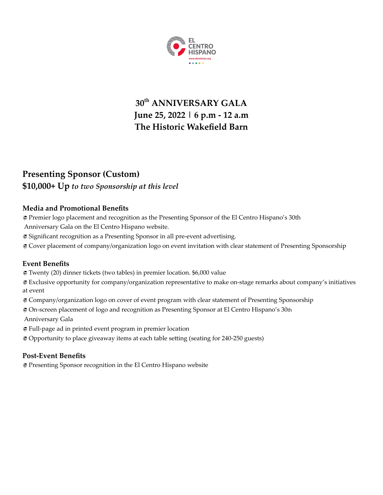

# **30 th ANNIVERSARY GALA June 25, 2022 | 6 p.m - 12 a.m The Historic Wakefield Barn**

## **Presenting Sponsor (Custom) \$10,000+ Up** *to two Sponsorship at this level*

## **Media and Promotional Benefits**

Premier logo placement and recognition as the Presenting Sponsor of the El Centro Hispano's 30th

Anniversary Gala on the El Centro Hispano website.

Significant recognition as a Presenting Sponsor in all pre-event advertising.

Cover placement of company/organization logo on event invitation with clear statement of Presenting Sponsorship

## **Event Benefits**

Twenty (20) dinner tickets (two tables) in premier location. \$6,000 value

 Exclusive opportunity for company/organization representative to make on-stage remarks about company's initiatives at event

Company/organization logo on cover of event program with clear statement of Presenting Sponsorship

On-screen placement of logo and recognition as Presenting Sponsor at El Centro Hispano's 30th

Anniversary Gala

Full-page ad in printed event program in premier location

Opportunity to place giveaway items at each table setting (seating for 240-250 guests)

## **Post-Event Benefits**

Presenting Sponsor recognition in the El Centro Hispano website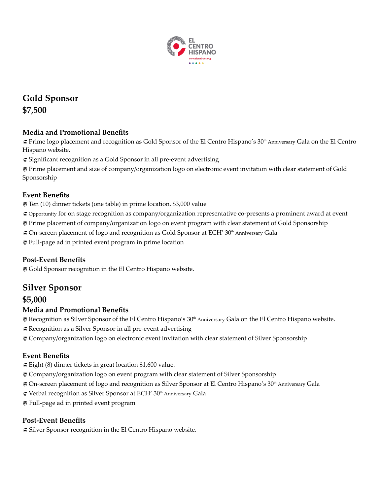

**Gold Sponsor \$7,500**

## **Media and Promotional Benefits**

 $\bm{\varnothing}$  Prime logo placement and recognition as Gold Sponsor of the El Centro Hispano's 30<sup>th</sup> Anniversary Gala on the El Centro Hispano website.

Significant recognition as a Gold Sponsor in all pre-event advertising

 Prime placement and size of company/organization logo on electronic event invitation with clear statement of Gold Sponsorship

## **Event Benefits**

Ten (10) dinner tickets (one table) in prime location. \$3,000 value

Opportunity for on stage recognition as company/organization representative co-presents a prominent award at event

Prime placement of company/organization logo on event program with clear statement of Gold Sponsorship

 $\clubsuit$  On-screen placement of logo and recognition as Gold Sponsor at ECH' 30<sup>th</sup> Anniversary Gala

Full-page ad in printed event program in prime location

## **Post-Event Benefits**

Gold Sponsor recognition in the El Centro Hispano website.

## **Silver Sponsor**

## **\$5,000**

#### **Media and Promotional Benefits**

 $\Xi$  Recognition as Silver Sponsor of the El Centro Hispano's 30th Anniversary Gala on the El Centro Hispano website.

Recognition as a Silver Sponsor in all pre-event advertising

Company/organization logo on electronic event invitation with clear statement of Silver Sponsorship

## **Event Benefits**

Eight (8) dinner tickets in great location \$1,600 value.

Company/organization logo on event program with clear statement of Silver Sponsorship

 $\gtrsim$  On-screen placement of logo and recognition as Silver Sponsor at El Centro Hispano's 30<sup>th</sup> Anniversary Gala

 $\ddot{\textbf{\large{\#}}}$  Verbal recognition as Silver Sponsor at ECH' 30<sup>th</sup> Anniversary Gala

Full-page ad in printed event program

#### **Post-Event Benefits**

Silver Sponsor recognition in the El Centro Hispano website.